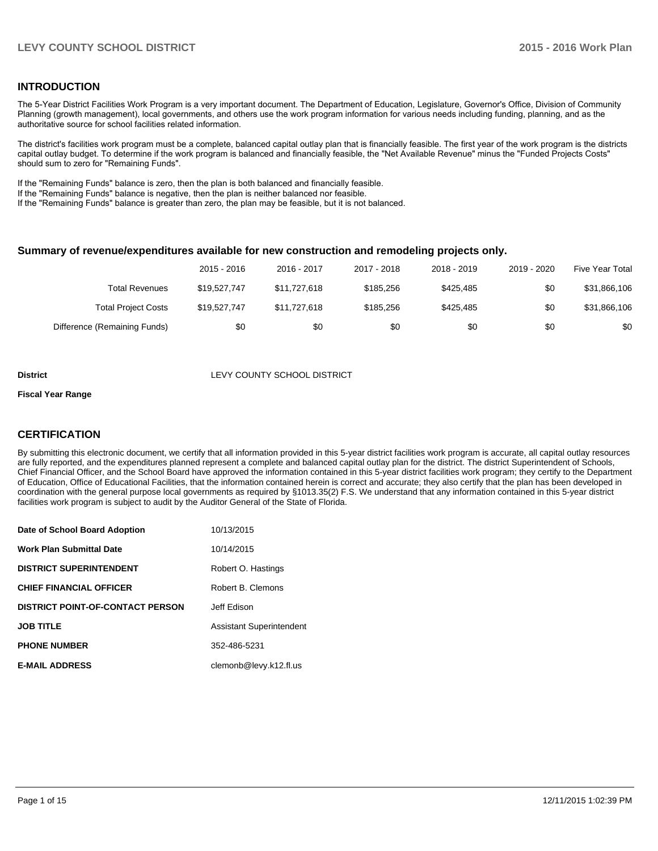#### **INTRODUCTION**

The 5-Year District Facilities Work Program is a very important document. The Department of Education, Legislature, Governor's Office, Division of Community Planning (growth management), local governments, and others use the work program information for various needs including funding, planning, and as the authoritative source for school facilities related information.

The district's facilities work program must be a complete, balanced capital outlay plan that is financially feasible. The first year of the work program is the districts capital outlay budget. To determine if the work program is balanced and financially feasible, the "Net Available Revenue" minus the "Funded Projects Costs" should sum to zero for "Remaining Funds".

If the "Remaining Funds" balance is zero, then the plan is both balanced and financially feasible.

If the "Remaining Funds" balance is negative, then the plan is neither balanced nor feasible.

If the "Remaining Funds" balance is greater than zero, the plan may be feasible, but it is not balanced.

#### **Summary of revenue/expenditures available for new construction and remodeling projects only.**

|                              | 2015 - 2016  | 2016 - 2017  | 2017 - 2018 | 2018 - 2019 | 2019 - 2020 | Five Year Total |
|------------------------------|--------------|--------------|-------------|-------------|-------------|-----------------|
| Total Revenues               | \$19.527.747 | \$11.727.618 | \$185,256   | \$425.485   | \$0         | \$31,866,106    |
| <b>Total Project Costs</b>   | \$19,527,747 | \$11.727.618 | \$185.256   | \$425.485   | \$0         | \$31,866,106    |
| Difference (Remaining Funds) | \$0          | \$0          | \$0         | \$0         | \$0         | \$0             |

#### **District District LEVY COUNTY SCHOOL DISTRICT**

#### **Fiscal Year Range**

### **CERTIFICATION**

By submitting this electronic document, we certify that all information provided in this 5-year district facilities work program is accurate, all capital outlay resources are fully reported, and the expenditures planned represent a complete and balanced capital outlay plan for the district. The district Superintendent of Schools, Chief Financial Officer, and the School Board have approved the information contained in this 5-year district facilities work program; they certify to the Department of Education, Office of Educational Facilities, that the information contained herein is correct and accurate; they also certify that the plan has been developed in coordination with the general purpose local governments as required by §1013.35(2) F.S. We understand that any information contained in this 5-year district facilities work program is subject to audit by the Auditor General of the State of Florida.

| Date of School Board Adoption           | 10/13/2015                      |
|-----------------------------------------|---------------------------------|
| <b>Work Plan Submittal Date</b>         | 10/14/2015                      |
| <b>DISTRICT SUPERINTENDENT</b>          | Robert O. Hastings              |
| <b>CHIEF FINANCIAL OFFICER</b>          | Robert B. Clemons               |
| <b>DISTRICT POINT-OF-CONTACT PERSON</b> | Jeff Edison                     |
| <b>JOB TITLE</b>                        | <b>Assistant Superintendent</b> |
| <b>PHONE NUMBER</b>                     | 352-486-5231                    |
| <b>E-MAIL ADDRESS</b>                   | clemonb@levy.k12.fl.us          |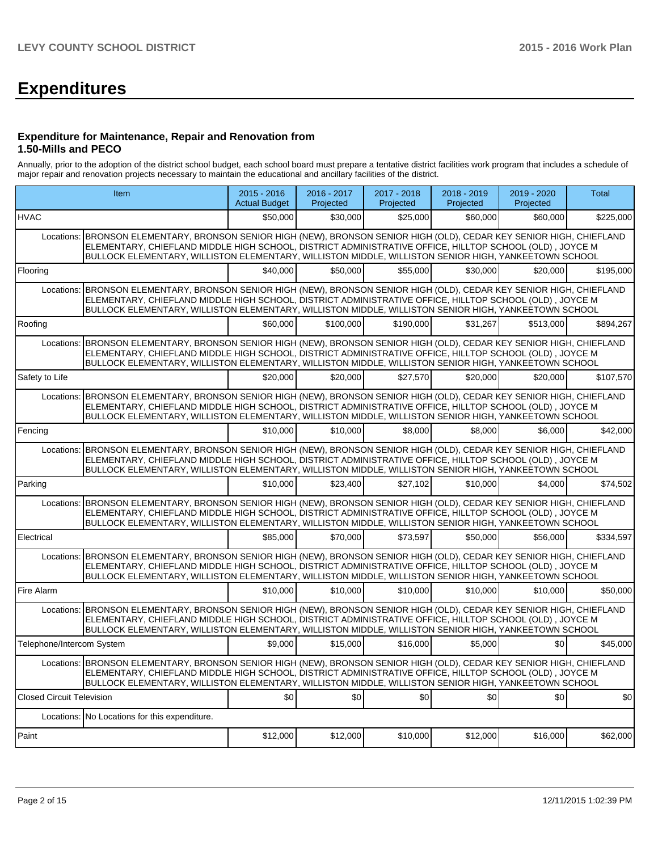# **Expenditures**

#### **Expenditure for Maintenance, Repair and Renovation from 1.50-Mills and PECO**

Annually, prior to the adoption of the district school budget, each school board must prepare a tentative district facilities work program that includes a schedule of major repair and renovation projects necessary to maintain the educational and ancillary facilities of the district.

|                                  | Item                                                                                                                                                                                                                                                                                                                                     | $2015 - 2016$<br><b>Actual Budget</b> | $2016 - 2017$<br>Projected | 2017 - 2018<br>Projected | 2018 - 2019<br>Projected | 2019 - 2020<br>Projected | Total     |
|----------------------------------|------------------------------------------------------------------------------------------------------------------------------------------------------------------------------------------------------------------------------------------------------------------------------------------------------------------------------------------|---------------------------------------|----------------------------|--------------------------|--------------------------|--------------------------|-----------|
| <b>HVAC</b>                      |                                                                                                                                                                                                                                                                                                                                          | \$50,000                              | \$30,000                   | \$25,000                 | \$60,000                 | \$60,000                 | \$225,000 |
| Locations:                       | BRONSON ELEMENTARY, BRONSON SENIOR HIGH (NEW), BRONSON SENIOR HIGH (OLD), CEDAR KEY SENIOR HIGH, CHIEFLAND<br>ELEMENTARY, CHIEFLAND MIDDLE HIGH SCHOOL, DISTRICT ADMINISTRATIVE OFFICE, HILLTOP SCHOOL (OLD), JOYCE M<br>BULLOCK ELEMENTARY, WILLISTON ELEMENTARY, WILLISTON MIDDLE, WILLISTON SENIOR HIGH, YANKEETOWN SCHOOL            |                                       |                            |                          |                          |                          |           |
| Flooring                         |                                                                                                                                                                                                                                                                                                                                          | \$40,000                              | \$50,000                   | \$55,000                 | \$30,000                 | \$20,000                 | \$195.000 |
|                                  | Locations: BRONSON ELEMENTARY, BRONSON SENIOR HIGH (NEW), BRONSON SENIOR HIGH (OLD), CEDAR KEY SENIOR HIGH, CHIEFLAND<br>ELEMENTARY, CHIEFLAND MIDDLE HIGH SCHOOL, DISTRICT ADMINISTRATIVE OFFICE, HILLTOP SCHOOL (OLD), JOYCE M<br>BULLOCK ELEMENTARY, WILLISTON ELEMENTARY, WILLISTON MIDDLE, WILLISTON SENIOR HIGH, YANKEETOWN SCHOOL |                                       |                            |                          |                          |                          |           |
| Roofing                          |                                                                                                                                                                                                                                                                                                                                          | \$60,000                              | \$100,000                  | \$190.000                | \$31.267                 | \$513,000                | \$894,267 |
|                                  | Locations: BRONSON ELEMENTARY, BRONSON SENIOR HIGH (NEW), BRONSON SENIOR HIGH (OLD), CEDAR KEY SENIOR HIGH, CHIEFLAND<br>ELEMENTARY, CHIEFLAND MIDDLE HIGH SCHOOL, DISTRICT ADMINISTRATIVE OFFICE, HILLTOP SCHOOL (OLD), JOYCE M<br>BULLOCK ELEMENTARY, WILLISTON ELEMENTARY, WILLISTON MIDDLE, WILLISTON SENIOR HIGH, YANKEETOWN SCHOOL |                                       |                            |                          |                          |                          |           |
| Safety to Life                   |                                                                                                                                                                                                                                                                                                                                          | \$20,000                              | \$20,000                   | \$27,570                 | \$20,000                 | \$20,000                 | \$107,570 |
|                                  | Locations: BRONSON ELEMENTARY, BRONSON SENIOR HIGH (NEW), BRONSON SENIOR HIGH (OLD), CEDAR KEY SENIOR HIGH, CHIEFLAND<br>ELEMENTARY, CHIEFLAND MIDDLE HIGH SCHOOL, DISTRICT ADMINISTRATIVE OFFICE, HILLTOP SCHOOL (OLD), JOYCE M<br>BULLOCK ELEMENTARY, WILLISTON ELEMENTARY, WILLISTON MIDDLE, WILLISTON SENIOR HIGH, YANKEETOWN SCHOOL |                                       |                            |                          |                          |                          |           |
| Fencing                          |                                                                                                                                                                                                                                                                                                                                          | \$10,000                              | \$10,000                   | \$8,000                  | \$8,000                  | \$6,000                  | \$42,000  |
|                                  | Locations: BRONSON ELEMENTARY, BRONSON SENIOR HIGH (NEW), BRONSON SENIOR HIGH (OLD), CEDAR KEY SENIOR HIGH, CHIEFLAND<br>ELEMENTARY, CHIEFLAND MIDDLE HIGH SCHOOL, DISTRICT ADMINISTRATIVE OFFICE, HILLTOP SCHOOL (OLD), JOYCE M<br>BULLOCK ELEMENTARY, WILLISTON ELEMENTARY, WILLISTON MIDDLE, WILLISTON SENIOR HIGH, YANKEETOWN SCHOOL |                                       |                            |                          |                          |                          |           |
| Parking                          |                                                                                                                                                                                                                                                                                                                                          | \$10,000                              | \$23,400                   | \$27,102                 | \$10,000                 | \$4,000                  | \$74,502  |
| Locations:                       | BRONSON ELEMENTARY, BRONSON SENIOR HIGH (NEW), BRONSON SENIOR HIGH (OLD), CEDAR KEY SENIOR HIGH, CHIEFLAND<br>ELEMENTARY, CHIEFLAND MIDDLE HIGH SCHOOL, DISTRICT ADMINISTRATIVE OFFICE, HILLTOP SCHOOL (OLD), JOYCE M<br>BULLOCK ELEMENTARY, WILLISTON ELEMENTARY, WILLISTON MIDDLE, WILLISTON SENIOR HIGH, YANKEETOWN SCHOOL            |                                       |                            |                          |                          |                          |           |
| Electrical                       |                                                                                                                                                                                                                                                                                                                                          | \$85,000                              | \$70,000                   | \$73,597                 | \$50,000                 | \$56,000                 | \$334.597 |
|                                  | Locations: BRONSON ELEMENTARY, BRONSON SENIOR HIGH (NEW), BRONSON SENIOR HIGH (OLD), CEDAR KEY SENIOR HIGH, CHIEFLAND<br>ELEMENTARY, CHIEFLAND MIDDLE HIGH SCHOOL, DISTRICT ADMINISTRATIVE OFFICE, HILLTOP SCHOOL (OLD), JOYCE M<br>BULLOCK ELEMENTARY, WILLISTON ELEMENTARY, WILLISTON MIDDLE, WILLISTON SENIOR HIGH, YANKEETOWN SCHOOL |                                       |                            |                          |                          |                          |           |
| Fire Alarm                       |                                                                                                                                                                                                                                                                                                                                          | \$10,000                              | \$10,000                   | \$10,000                 | \$10,000                 | \$10,000                 | \$50,000  |
| Locations:                       | BRONSON ELEMENTARY, BRONSON SENIOR HIGH (NEW), BRONSON SENIOR HIGH (OLD), CEDAR KEY SENIOR HIGH, CHIEFLAND<br>ELEMENTARY, CHIEFLAND MIDDLE HIGH SCHOOL, DISTRICT ADMINISTRATIVE OFFICE, HILLTOP SCHOOL (OLD), JOYCE M<br>BULLOCK ELEMENTARY, WILLISTON ELEMENTARY, WILLISTON MIDDLE, WILLISTON SENIOR HIGH, YANKEETOWN SCHOOL            |                                       |                            |                          |                          |                          |           |
| Telephone/Intercom System        |                                                                                                                                                                                                                                                                                                                                          | \$9.000                               | \$15,000                   | \$16,000                 | \$5,000                  | \$0                      | \$45,000  |
|                                  | Locations: BRONSON ELEMENTARY, BRONSON SENIOR HIGH (NEW), BRONSON SENIOR HIGH (OLD), CEDAR KEY SENIOR HIGH, CHIEFLAND<br>ELEMENTARY, CHIEFLAND MIDDLE HIGH SCHOOL, DISTRICT ADMINISTRATIVE OFFICE, HILLTOP SCHOOL (OLD), JOYCE M<br>BULLOCK ELEMENTARY, WILLISTON ELEMENTARY, WILLISTON MIDDLE, WILLISTON SENIOR HIGH, YANKEETOWN SCHOOL |                                       |                            |                          |                          |                          |           |
| <b>Closed Circuit Television</b> |                                                                                                                                                                                                                                                                                                                                          | \$0                                   | \$0                        | \$0                      | \$0                      | \$0                      | \$0       |
|                                  | Locations: No Locations for this expenditure.                                                                                                                                                                                                                                                                                            |                                       |                            |                          |                          |                          |           |
| Paint                            |                                                                                                                                                                                                                                                                                                                                          | \$12,000                              | \$12,000                   | \$10,000                 | \$12,000                 | \$16,000                 | \$62,000  |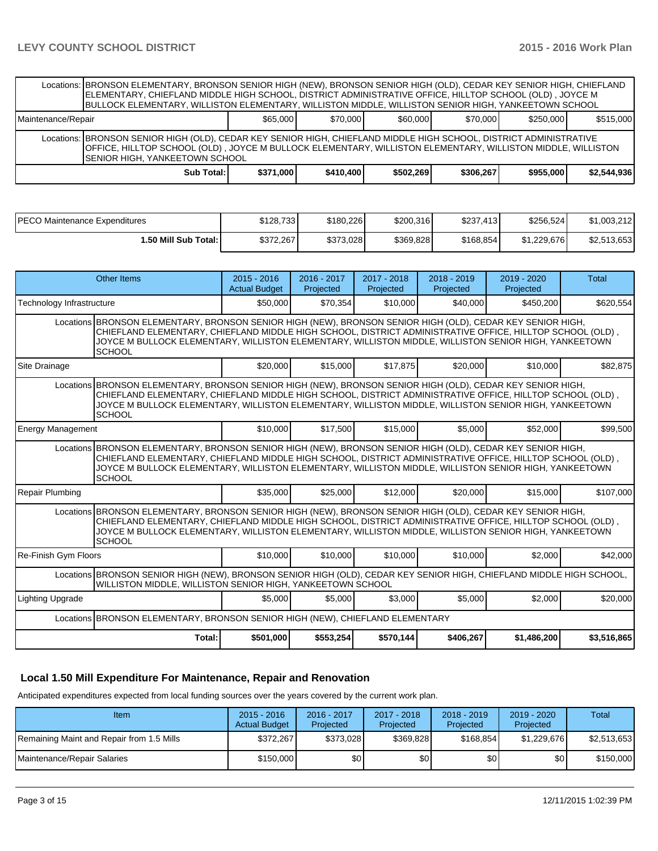|                               | Locations: BRONSON ELEMENTARY, BRONSON SENIOR HIGH (NEW), BRONSON SENIOR HIGH (OLD), CEDAR KEY SENIOR HIGH, CHIEFLAND<br>ELEMENTARY, CHIEFLAND MIDDLE HIGH SCHOOL, DISTRICT ADMINISTRATIVE OFFICE, HILLTOP SCHOOL (OLD) , JOYCE M<br>BULLOCK ELEMENTARY, WILLISTON ELEMENTARY, WILLISTON MIDDLE, WILLISTON SENIOR HIGH, YANKEETOWN SCHOOL         |                                       |                          |                          |                          |                          |             |
|-------------------------------|---------------------------------------------------------------------------------------------------------------------------------------------------------------------------------------------------------------------------------------------------------------------------------------------------------------------------------------------------|---------------------------------------|--------------------------|--------------------------|--------------------------|--------------------------|-------------|
| Maintenance/Repair            |                                                                                                                                                                                                                                                                                                                                                   | \$65,000                              | \$70,000                 | \$60,000                 | \$70,000                 | \$250,000                | \$515,000   |
| Locations:                    | BRONSON SENIOR HIGH (OLD), CEDAR KEY SENIOR HIGH, CHIEFLAND MIDDLE HIGH SCHOOL, DISTRICT ADMINISTRATIVE<br>OFFICE, HILLTOP SCHOOL (OLD), JOYCE M BULLOCK ELEMENTARY, WILLISTON ELEMENTARY, WILLISTON MIDDLE, WILLISTON<br>SENIOR HIGH, YANKEETOWN SCHOOL                                                                                          |                                       |                          |                          |                          |                          |             |
|                               | <b>Sub Total:</b>                                                                                                                                                                                                                                                                                                                                 | \$371,000                             | \$410,400                | \$502,269                | \$306,267                | \$955,000                | \$2,544,936 |
|                               |                                                                                                                                                                                                                                                                                                                                                   |                                       |                          |                          |                          |                          |             |
| PECO Maintenance Expenditures |                                                                                                                                                                                                                                                                                                                                                   | \$128,733                             | \$180,226                | \$200,316                | \$237,413                | \$256,524                | \$1,003,212 |
|                               | 1.50 Mill Sub Total:                                                                                                                                                                                                                                                                                                                              | \$372,267                             | \$373,028                | \$369,828                | \$168,854                | \$1,229,676              | \$2,513,653 |
|                               |                                                                                                                                                                                                                                                                                                                                                   |                                       |                          |                          |                          |                          |             |
|                               | <b>Other Items</b>                                                                                                                                                                                                                                                                                                                                | $2015 - 2016$<br><b>Actual Budget</b> | 2016 - 2017<br>Projected | 2017 - 2018<br>Projected | 2018 - 2019<br>Projected | 2019 - 2020<br>Projected | Total       |
| Technology Infrastructure     |                                                                                                                                                                                                                                                                                                                                                   | \$50,000                              | \$70,354                 | \$10,000                 | \$40,000                 | \$450,200                | \$620,554   |
|                               | Locations BRONSON ELEMENTARY, BRONSON SENIOR HIGH (NEW), BRONSON SENIOR HIGH (OLD), CEDAR KEY SENIOR HIGH,<br>CHIEFLAND ELEMENTARY, CHIEFLAND MIDDLE HIGH SCHOOL, DISTRICT ADMINISTRATIVE OFFICE, HILLTOP SCHOOL (OLD),<br>JOYCE M BULLOCK ELEMENTARY, WILLISTON ELEMENTARY, WILLISTON MIDDLE, WILLISTON SENIOR HIGH, YANKEETOWN<br><b>SCHOOL</b> |                                       |                          |                          |                          |                          |             |
| Site Drainage                 |                                                                                                                                                                                                                                                                                                                                                   | \$20,000                              | \$15,000                 | \$17,875                 | \$20,000                 | \$10,000                 | \$82,875    |
|                               | Locations BRONSON ELEMENTARY, BRONSON SENIOR HIGH (NEW), BRONSON SENIOR HIGH (OLD), CEDAR KEY SENIOR HIGH,<br>CHIEFLAND ELEMENTARY, CHIEFLAND MIDDLE HIGH SCHOOL, DISTRICT ADMINISTRATIVE OFFICE, HILLTOP SCHOOL (OLD),<br>JOYCE M BULLOCK ELEMENTARY, WILLISTON ELEMENTARY, WILLISTON MIDDLE, WILLISTON SENIOR HIGH, YANKEETOWN<br><b>SCHOOL</b> |                                       |                          |                          |                          |                          |             |
| <b>Energy Management</b>      |                                                                                                                                                                                                                                                                                                                                                   | \$10,000                              | \$17,500                 | \$15,000                 | \$5,000                  | \$52,000                 | \$99,500    |
|                               | Locations BRONSON ELEMENTARY, BRONSON SENIOR HIGH (NEW), BRONSON SENIOR HIGH (OLD), CEDAR KEY SENIOR HIGH,<br>CHIEFLAND ELEMENTARY, CHIEFLAND MIDDLE HIGH SCHOOL, DISTRICT ADMINISTRATIVE OFFICE, HILLTOP SCHOOL (OLD),<br>JOYCE M BULLOCK ELEMENTARY, WILLISTON ELEMENTARY, WILLISTON MIDDLE, WILLISTON SENIOR HIGH, YANKEETOWN<br><b>SCHOOL</b> |                                       |                          |                          |                          |                          |             |
| <b>Repair Plumbing</b>        |                                                                                                                                                                                                                                                                                                                                                   | \$35,000                              | \$25,000                 | \$12,000                 | \$20,000                 | \$15,000                 | \$107,000   |
| Locations                     | BRONSON ELEMENTARY, BRONSON SENIOR HIGH (NEW), BRONSON SENIOR HIGH (OLD), CEDAR KEY SENIOR HIGH,<br>CHIEFLAND ELEMENTARY, CHIEFLAND MIDDLE HIGH SCHOOL, DISTRICT ADMINISTRATIVE OFFICE, HILLTOP SCHOOL (OLD),<br>JOYCE M BULLOCK ELEMENTARY, WILLISTON ELEMENTARY, WILLISTON MIDDLE, WILLISTON SENIOR HIGH, YANKEETOWN<br><b>SCHOOL</b>           |                                       |                          |                          |                          |                          |             |
| Re-Finish Gym Floors          |                                                                                                                                                                                                                                                                                                                                                   | \$10,000                              | \$10,000                 | \$10,000                 | \$10,000                 | \$2,000                  | \$42,000    |
|                               | Locations BRONSON SENIOR HIGH (NEW), BRONSON SENIOR HIGH (OLD), CEDAR KEY SENIOR HIGH, CHIEFLAND MIDDLE HIGH SCHOOL,<br>WILLISTON MIDDLE, WILLISTON SENIOR HIGH, YANKEETOWN SCHOOL                                                                                                                                                                |                                       |                          |                          |                          |                          |             |
| <b>Lighting Upgrade</b>       |                                                                                                                                                                                                                                                                                                                                                   | \$5,000                               | \$5,000                  | \$3,000                  | \$5,000                  | \$2,000                  | \$20,000    |
|                               | Locations BRONSON ELEMENTARY, BRONSON SENIOR HIGH (NEW), CHIEFLAND ELEMENTARY                                                                                                                                                                                                                                                                     |                                       |                          |                          |                          |                          |             |
|                               | Total:                                                                                                                                                                                                                                                                                                                                            | \$501,000                             | \$553,254                | \$570,144                | \$406,267                | \$1,486,200              | \$3,516,865 |

## **Local 1.50 Mill Expenditure For Maintenance, Repair and Renovation**

Anticipated expenditures expected from local funding sources over the years covered by the current work plan.

| Item                                      | $2015 - 2016$<br><b>Actual Budget</b> | 2016 - 2017<br>Projected | 2017 - 2018<br>Projected | $2018 - 2019$<br>Projected | $2019 - 2020$<br>Projected | Total       |
|-------------------------------------------|---------------------------------------|--------------------------|--------------------------|----------------------------|----------------------------|-------------|
| Remaining Maint and Repair from 1.5 Mills | \$372,267                             | \$373.028                | \$369.828                | \$168,854                  | \$1.229.676                | \$2,513,653 |
| Maintenance/Repair Salaries               | \$150,000                             | \$٥Ι                     | \$0                      | \$0                        | \$0                        | \$150,000   |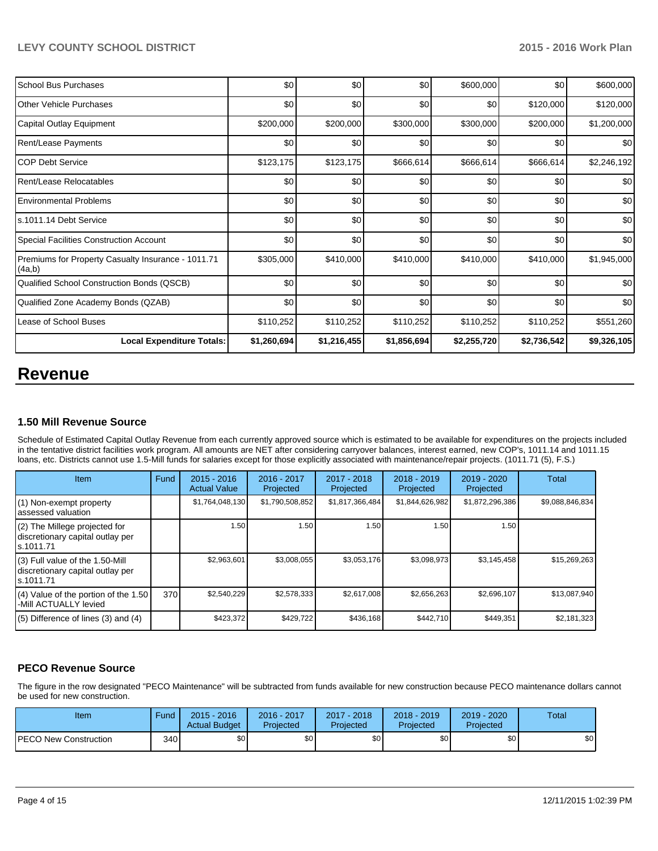| School Bus Purchases                                         | \$0         | \$0         | \$0         | \$600,000   | \$0         | \$600,000   |
|--------------------------------------------------------------|-------------|-------------|-------------|-------------|-------------|-------------|
| <b>Other Vehicle Purchases</b>                               | \$0         | \$0         | \$0         | \$0         | \$120,000   | \$120,000   |
| Capital Outlay Equipment                                     | \$200,000   | \$200,000   | \$300,000   | \$300,000   | \$200,000   | \$1,200,000 |
| <b>Rent/Lease Payments</b>                                   | \$0         | \$0         | \$0         | \$0         | \$0         | \$0         |
| ICOP Debt Service                                            | \$123, 175  | \$123,175   | \$666,614   | \$666,614   | \$666,614   | \$2,246,192 |
| Rent/Lease Relocatables                                      | \$0         | \$0         | \$0         | \$0         | \$0         | \$0         |
| <b>Environmental Problems</b>                                | \$0         | \$0         | \$0         | \$0         | \$0         | \$0         |
| s.1011.14 Debt Service                                       | \$0         | \$0         | \$0         | \$0         | \$0         | \$0         |
| Special Facilities Construction Account                      | \$0         | \$0         | \$0         | \$0         | \$0         | \$0         |
| Premiums for Property Casualty Insurance - 1011.71<br>(4a,b) | \$305,000   | \$410,000   | \$410,000   | \$410,000   | \$410,000   | \$1,945,000 |
| Qualified School Construction Bonds (QSCB)                   | \$0         | \$0         | \$0         | \$0         | \$0         | \$0         |
| Qualified Zone Academy Bonds (QZAB)                          | \$0         | \$0         | \$0         | \$0         | \$0         | \$0         |
| Lease of School Buses                                        | \$110,252   | \$110,252   | \$110,252   | \$110,252   | \$110,252   | \$551,260   |
| <b>Local Expenditure Totals:</b>                             | \$1,260,694 | \$1,216,455 | \$1,856,694 | \$2,255,720 | \$2,736,542 | \$9,326,105 |

## **Revenue**

### **1.50 Mill Revenue Source**

Schedule of Estimated Capital Outlay Revenue from each currently approved source which is estimated to be available for expenditures on the projects included In the tentative district facilities work program. All amounts are NET after considering carryover balances, interest earned, new COP's, 1011.14 and 1011.15 loans, etc. Districts cannot use 1.5-Mill funds for salaries except for those explicitly associated with maintenance/repair projects. (1011.71 (5), F.S.)

| Item                                                                              | Fund | $2015 - 2016$<br><b>Actual Value</b> | 2016 - 2017<br>Projected | $2017 - 2018$<br>Projected | $2018 - 2019$<br>Projected | 2019 - 2020<br>Projected | Total           |
|-----------------------------------------------------------------------------------|------|--------------------------------------|--------------------------|----------------------------|----------------------------|--------------------------|-----------------|
| (1) Non-exempt property<br>lassessed valuation                                    |      | \$1,764,048,130                      | \$1,790,508,852          | \$1,817,366,484            | \$1,844,626,982            | \$1,872,296,386          | \$9,088,846,834 |
| $(2)$ The Millege projected for<br>discretionary capital outlay per<br>ls.1011.71 |      | 1.50                                 | 1.50                     | .50'                       | 1.50                       | 1.50                     |                 |
| (3) Full value of the 1.50-Mill<br>discretionary capital outlay per<br>ls.1011.71 |      | \$2,963,601                          | \$3,008,055              | \$3,053,176                | \$3,098,973                | \$3,145,458              | \$15,269,263    |
| $(4)$ Value of the portion of the 1.50<br>-Mill ACTUALLY levied                   | 370  | \$2,540,229                          | \$2,578,333              | \$2,617,008                | \$2,656,263                | \$2,696,107              | \$13,087,940    |
| $(5)$ Difference of lines (3) and (4)                                             |      | \$423,372                            | \$429,722                | \$436,168                  | \$442,710                  | \$449,351                | \$2,181,323     |

## **PECO Revenue Source**

The figure in the row designated "PECO Maintenance" will be subtracted from funds available for new construction because PECO maintenance dollars cannot be used for new construction.

| Item                         | Fund             | $2015 - 2016$<br><b>Actual Budget</b> | 2016 - 2017<br>Projected | $2017 - 2018$<br>Projected | 2018 - 2019<br>Projected | 2019 - 2020<br>Projected | Total |
|------------------------------|------------------|---------------------------------------|--------------------------|----------------------------|--------------------------|--------------------------|-------|
| <b>PECO New Construction</b> | 340 <sup>l</sup> | \$0 <sub>l</sub>                      | \$0                      | \$0                        | \$0 I                    | \$0                      | \$0   |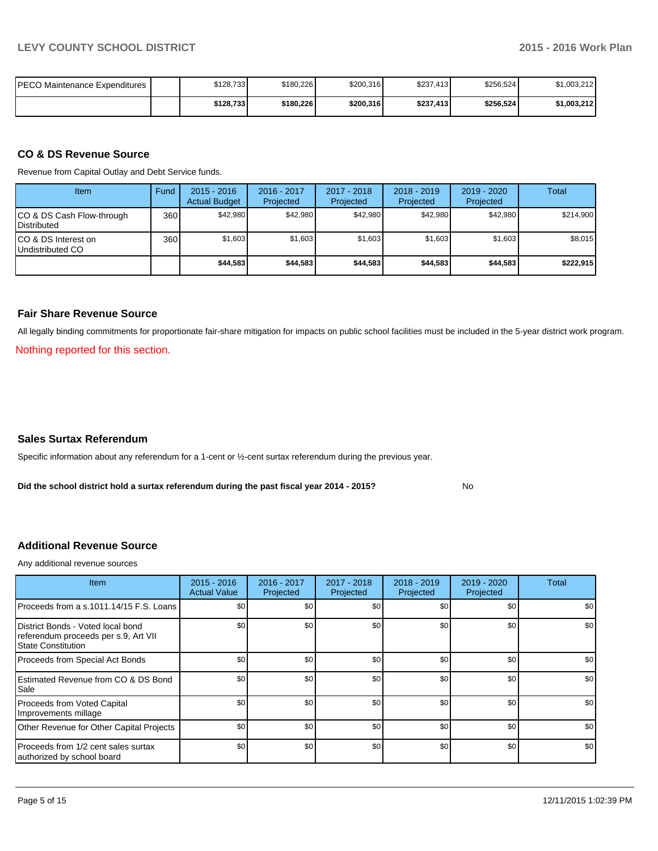| IPECO Maintenance Expenditures I | \$128,733 | \$180,226 | \$200,316 | \$237,413 | \$256,524 | \$1,003,212 |
|----------------------------------|-----------|-----------|-----------|-----------|-----------|-------------|
|                                  | \$128,733 | \$180,226 | \$200,316 | \$237,413 | \$256,524 | \$1,003,212 |

#### **CO & DS Revenue Source**

Revenue from Capital Outlay and Debt Service funds.

| Item                                               | Fund | $2015 - 2016$<br><b>Actual Budget</b> | $2016 - 2017$<br>Projected | $2017 - 2018$<br>Projected | $2018 - 2019$<br>Projected | $2019 - 2020$<br>Projected | <b>Total</b> |
|----------------------------------------------------|------|---------------------------------------|----------------------------|----------------------------|----------------------------|----------------------------|--------------|
| ICO & DS Cash Flow-through<br><b>I</b> Distributed | 360  | \$42.980                              | \$42.980                   | \$42.980                   | \$42.980                   | \$42.980                   | \$214.900    |
| ICO & DS Interest on<br>Undistributed CO           | 360  | \$1,603                               | \$1,603                    | \$1,603                    | \$1.603                    | \$1,603                    | \$8,015      |
|                                                    |      | \$44,583                              | \$44,583                   | \$44,583                   | \$44.583                   | \$44,583                   | \$222,915    |

#### **Fair Share Revenue Source**

All legally binding commitments for proportionate fair-share mitigation for impacts on public school facilities must be included in the 5-year district work program.

Nothing reported for this section.

#### **Sales Surtax Referendum**

Specific information about any referendum for a 1-cent or ½-cent surtax referendum during the previous year.

**Did the school district hold a surtax referendum during the past fiscal year 2014 - 2015?**

No

#### **Additional Revenue Source**

Any additional revenue sources

| Item                                                                                              | $2015 - 2016$<br><b>Actual Value</b> | 2016 - 2017<br>Projected | 2017 - 2018<br>Projected | $2018 - 2019$<br>Projected | 2019 - 2020<br>Projected | Total |
|---------------------------------------------------------------------------------------------------|--------------------------------------|--------------------------|--------------------------|----------------------------|--------------------------|-------|
| Proceeds from a s.1011.14/15 F.S. Loans                                                           | \$0                                  | \$0                      | \$0                      | \$0                        | \$0                      | \$0   |
| District Bonds - Voted local bond<br>referendum proceeds per s.9, Art VII<br>l State Constitution | \$0                                  | \$0                      | \$0                      | \$0                        | \$0                      | \$0   |
| Proceeds from Special Act Bonds                                                                   | \$0                                  | \$0                      | \$0                      | \$0                        | \$0                      | \$0   |
| <b>IEstimated Revenue from CO &amp; DS Bond</b><br><b>Sale</b>                                    | \$0                                  | \$0                      | \$0                      | \$0                        | \$0                      | \$0   |
| Proceeds from Voted Capital<br>Improvements millage                                               | \$0                                  | \$0                      | \$0                      | \$0                        | \$0                      | \$0   |
| Other Revenue for Other Capital Projects                                                          | \$0                                  | \$0                      | \$0                      | \$0                        | \$0                      | \$0   |
| Proceeds from 1/2 cent sales surtax<br>authorized by school board                                 | \$0                                  | \$0                      | \$0                      | \$0                        | \$0                      | \$0   |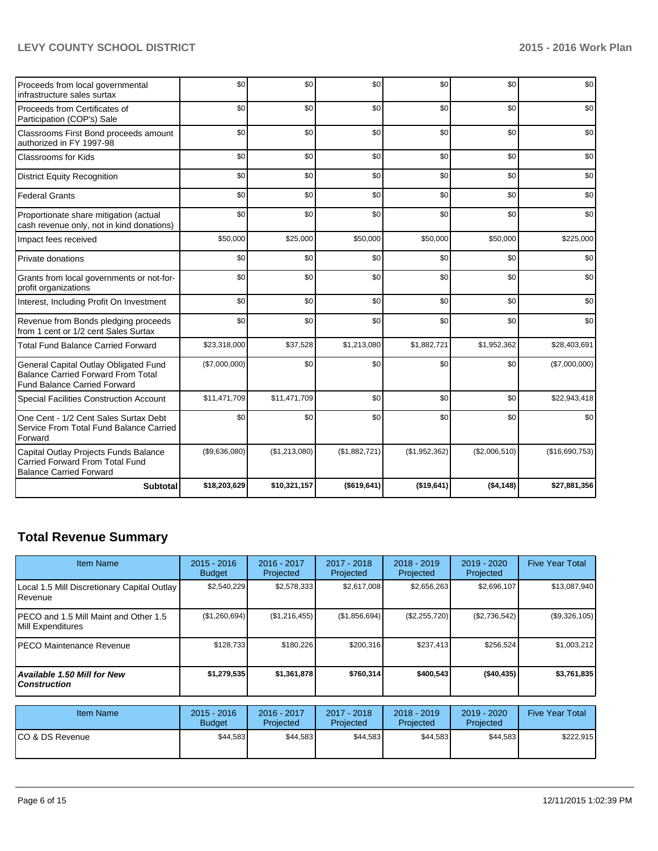## **LEVY COUNTY SCHOOL DISTRICT 2015 - 2016 Work Plan**

| Proceeds from local governmental<br>infrastructure sales surtax                                                           | \$0           | \$0           | \$0           | \$0           | \$0           | \$0            |
|---------------------------------------------------------------------------------------------------------------------------|---------------|---------------|---------------|---------------|---------------|----------------|
| Proceeds from Certificates of<br>Participation (COP's) Sale                                                               | \$0           | \$0           | \$0           | \$0           | \$0           | \$0            |
| Classrooms First Bond proceeds amount<br>authorized in FY 1997-98                                                         | \$0           | \$0           | \$0           | \$0           | \$0           | \$0            |
| Classrooms for Kids                                                                                                       | \$0           | \$0           | \$0           | \$0           | \$0           | \$0            |
| <b>District Equity Recognition</b>                                                                                        | \$0           | \$0           | \$0           | \$0           | \$0           | \$0            |
| <b>Federal Grants</b>                                                                                                     | \$0           | \$0           | \$0           | \$0           | \$0           | \$0            |
| Proportionate share mitigation (actual<br>cash revenue only, not in kind donations)                                       | \$0           | \$0           | \$0           | \$0           | \$0           | \$0            |
| Impact fees received                                                                                                      | \$50,000      | \$25,000      | \$50,000      | \$50,000      | \$50,000      | \$225,000      |
| Private donations                                                                                                         | \$0           | \$0           | \$0           | \$0           | \$0           | \$0            |
| Grants from local governments or not-for-<br>profit organizations                                                         | \$0           | \$0           | \$0           | \$0           | \$0           | \$0            |
| Interest, Including Profit On Investment                                                                                  | \$0           | \$0           | \$0           | \$0           | \$0           | \$0            |
| Revenue from Bonds pledging proceeds<br>from 1 cent or 1/2 cent Sales Surtax                                              | \$0           | \$0           | \$0           | \$0           | \$0           | \$0            |
| <b>Total Fund Balance Carried Forward</b>                                                                                 | \$23,318,000  | \$37,528      | \$1,213,080   | \$1,882,721   | \$1,952,362   | \$28,403,691   |
| General Capital Outlay Obligated Fund<br><b>Balance Carried Forward From Total</b><br><b>Fund Balance Carried Forward</b> | (\$7,000,000) | \$0           | \$0           | \$0           | \$0           | (\$7,000,000)  |
| <b>Special Facilities Construction Account</b>                                                                            | \$11,471,709  | \$11,471,709  | \$0           | \$0           | \$0           | \$22,943,418   |
| One Cent - 1/2 Cent Sales Surtax Debt<br>Service From Total Fund Balance Carried<br>Forward                               | \$0           | \$0           | \$0           | \$0           | \$0           | \$0            |
| Capital Outlay Projects Funds Balance<br><b>Carried Forward From Total Fund</b><br><b>Balance Carried Forward</b>         | (\$9,636,080) | (\$1,213,080) | (\$1,882,721) | (\$1,952,362) | (\$2,006,510) | (\$16,690,753) |
| <b>Subtotal</b>                                                                                                           | \$18,203,629  | \$10,321,157  | ( \$619, 641) | ( \$19,641)   | (\$4,148)     | \$27,881,356   |

## **Total Revenue Summary**

| <b>Item Name</b>                                                | $2015 - 2016$<br><b>Budget</b> | $2016 - 2017$<br>Projected | $2017 - 2018$<br>Projected | $2018 - 2019$<br>Projected | $2019 - 2020$<br>Projected | <b>Five Year Total</b> |
|-----------------------------------------------------------------|--------------------------------|----------------------------|----------------------------|----------------------------|----------------------------|------------------------|
| Local 1.5 Mill Discretionary Capital Outlay<br><b>I</b> Revenue | \$2,540,229                    | \$2,578,333                | \$2,617,008                | \$2,656,263                | \$2,696,107                | \$13,087,940           |
| IPECO and 1.5 Mill Maint and Other 1.5<br>Mill Expenditures     | (\$1,260,694)                  | (\$1,216,455)              | (\$1,856,694)              | (\$2,255,720)              | (\$2,736,542)              | (\$9,326,105)          |
| IPECO Maintenance Revenue                                       | \$128.733                      | \$180.226                  | \$200.316                  | \$237,413                  | \$256.524                  | \$1,003,212            |
| Available 1.50 Mill for New l<br>l Construction                 | \$1,279,535                    | \$1,361,878                | \$760.314                  | \$400,543                  | ( \$40, 435)               | \$3,761,835            |

| <b>Item Name</b> | $2015 - 2016$<br><b>Budget</b> | 2016 - 2017<br>Projected | $2017 - 2018$<br>Projected | $2018 - 2019$<br>Projected | 2019 - 2020<br>Projected | <b>Five Year Total</b> |
|------------------|--------------------------------|--------------------------|----------------------------|----------------------------|--------------------------|------------------------|
| ICO & DS Revenue | \$44,583                       | \$44,583                 | \$44,583                   | \$44,583                   | \$44.583                 | \$222,915              |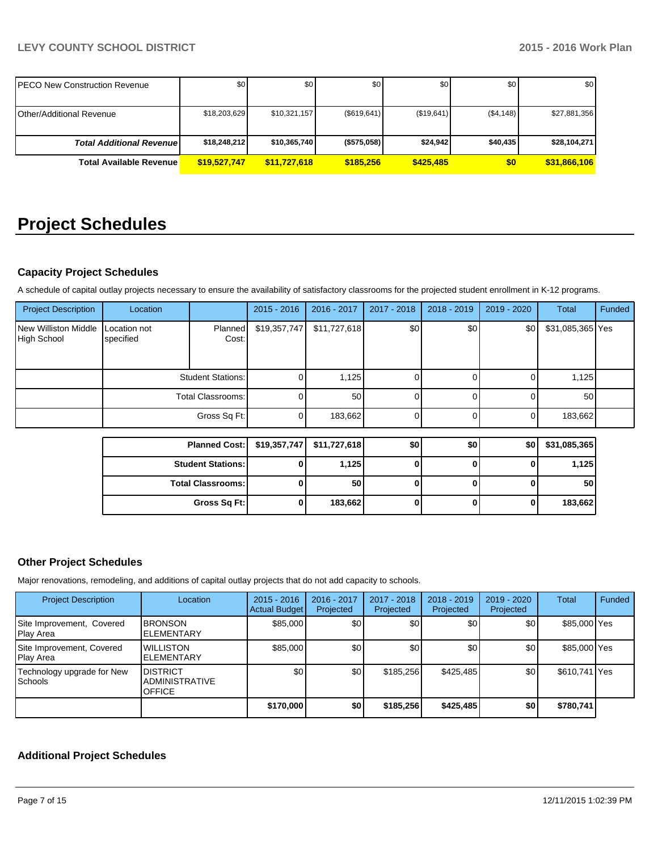## **LEVY COUNTY SCHOOL DISTRICT 2015 - 2016 Work Plan**

| IPECO New Construction Revenue    | \$0          | \$0          | \$0                | \$0        | \$0       | \$0          |
|-----------------------------------|--------------|--------------|--------------------|------------|-----------|--------------|
| <b>I</b> Other/Additional Revenue | \$18,203,629 | \$10,321,157 | (\$619,641)        | (\$19,641) | (\$4,148) | \$27,881,356 |
| <b>Total Additional Revenuel</b>  | \$18,248,212 | \$10,365,740 | $($ \$575,058) $ $ | \$24,942   | \$40,435  | \$28,104,271 |
| <b>Total Available Revenue</b>    | \$19,527,747 | \$11,727,618 | \$185,256          | \$425,485  | \$0       | \$31,866,106 |

# **Project Schedules**

### **Capacity Project Schedules**

A schedule of capital outlay projects necessary to ensure the availability of satisfactory classrooms for the projected student enrollment in K-12 programs.

| <b>Project Description</b>          | Location                  |                          | $2015 - 2016$ | 2016 - 2017  | 2017 - 2018 | $2018 - 2019$ | 2019 - 2020 | Total            | Funded |
|-------------------------------------|---------------------------|--------------------------|---------------|--------------|-------------|---------------|-------------|------------------|--------|
| New Williston Middle<br>High School | Location not<br>specified | <b>Planned</b><br>Cost:  | \$19,357,747  | \$11,727,618 | \$0         | \$0           | \$0         | \$31,085,365 Yes |        |
|                                     | <b>Student Stations:</b>  |                          | 0             | 1,125        | 0           |               |             | 1,125            |        |
|                                     | <b>Total Classrooms:</b>  |                          |               | 50           | 0           |               |             | 50               |        |
|                                     |                           | Gross Sq Ft:             | $\Omega$      | 183,662      | 0           |               | $\Omega$    | 183,662          |        |
|                                     |                           |                          |               |              |             |               |             |                  |        |
|                                     |                           | <b>Planned Cost:</b>     | \$19,357,747  | \$11,727,618 | \$0         | \$0           | \$0         | \$31,085,365     |        |
|                                     | <b>Student Stations:</b>  |                          |               | 1,125        | 0           |               | 0           | 1,125            |        |
|                                     |                           | <b>Total Classrooms:</b> | 0             | 50           | 0           | $\mathbf{0}$  | 0           | 50               |        |
|                                     |                           | Gross Sq Ft:             |               | 183,662      | 0           |               | 0           | 183,662          |        |

### **Other Project Schedules**

Major renovations, remodeling, and additions of capital outlay projects that do not add capacity to schools.

| <b>Project Description</b>             | Location                                                   | $2015 - 2016$<br>Actual Budget | $2016 - 2017$<br>Projected | 2017 - 2018<br>Projected | $2018 - 2019$<br>Projected | $2019 - 2020$<br>Projected | <b>Total</b>  | Funded |
|----------------------------------------|------------------------------------------------------------|--------------------------------|----------------------------|--------------------------|----------------------------|----------------------------|---------------|--------|
| Site Improvement, Covered<br>Play Area | <b>BRONSON</b><br><b>IELEMENTARY</b>                       | \$85,000                       | \$0                        | \$0 <sub>1</sub>         | \$0                        | \$0                        | \$85,000 Yes  |        |
| Site Improvement, Covered<br>Play Area | <b>WILLISTON</b><br><b>IELEMENTARY</b>                     | \$85,000                       | \$0                        | \$0                      | \$0                        | \$0                        | \$85,000 Yes  |        |
| Technology upgrade for New<br>Schools  | <b>IDISTRICT</b><br><b>ADMINISTRATIVE</b><br><b>OFFICE</b> | \$0                            | \$0 <sub>l</sub>           | \$185,256                | \$425,485                  | \$0                        | \$610,741 Yes |        |
|                                        |                                                            | \$170,000                      | \$0                        | \$185,256                | \$425,485                  | \$0                        | \$780,741     |        |

#### **Additional Project Schedules**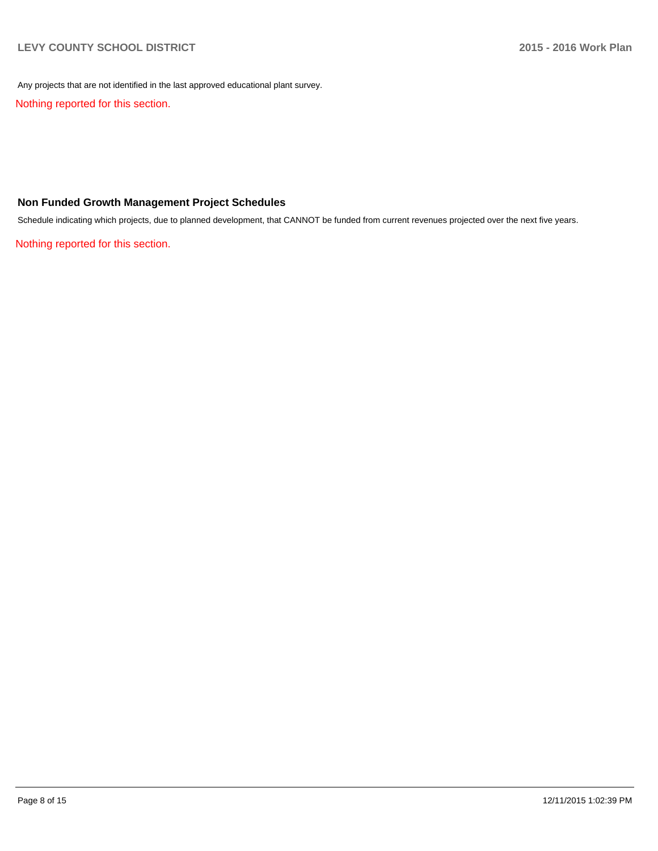Any projects that are not identified in the last approved educational plant survey.

Nothing reported for this section.

### **Non Funded Growth Management Project Schedules**

Schedule indicating which projects, due to planned development, that CANNOT be funded from current revenues projected over the next five years.

Nothing reported for this section.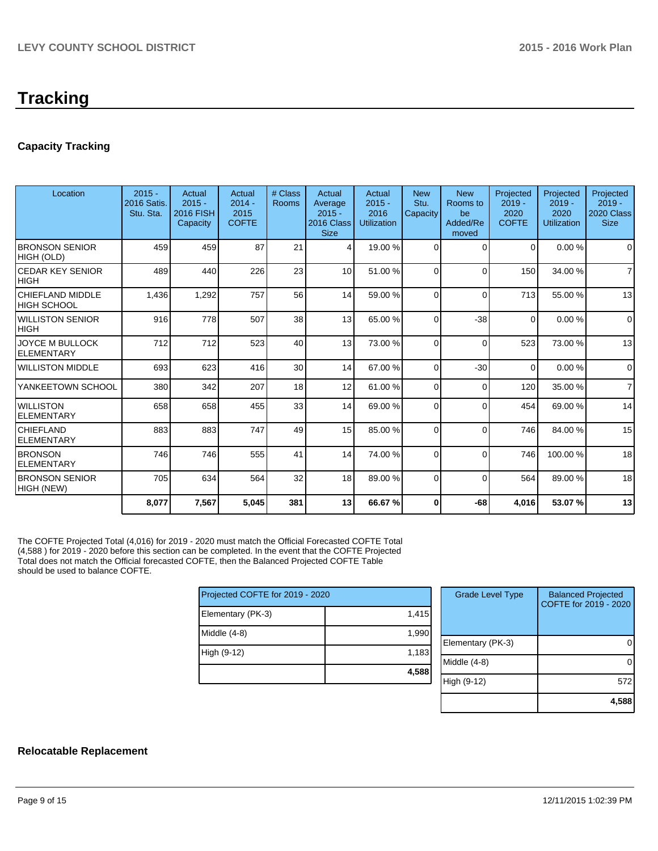# **Tracking**

## **Capacity Tracking**

| Location                                    | $2015 -$<br><b>2016 Satis.</b><br>Stu. Sta. | Actual<br>$2015 -$<br><b>2016 FISH</b><br>Capacity | Actual<br>$2014 -$<br>2015<br><b>COFTE</b> | # Class<br>Rooms | Actual<br>Average<br>$2015 -$<br>2016 Class<br><b>Size</b> | Actual<br>$2015 -$<br>2016<br><b>Utilization</b> | <b>New</b><br>Stu.<br>Capacity | <b>New</b><br>Rooms to<br>be<br>Added/Re<br>moved | Projected<br>$2019 -$<br>2020<br><b>COFTE</b> | Projected<br>$2019 -$<br>2020<br><b>Utilization</b> | Projected<br>$2019 -$<br>2020 Class<br><b>Size</b> |
|---------------------------------------------|---------------------------------------------|----------------------------------------------------|--------------------------------------------|------------------|------------------------------------------------------------|--------------------------------------------------|--------------------------------|---------------------------------------------------|-----------------------------------------------|-----------------------------------------------------|----------------------------------------------------|
| <b>BRONSON SENIOR</b><br>HIGH (OLD)         | 459                                         | 459                                                | 87                                         | 21               | 4                                                          | 19.00 %                                          | 0                              | $\Omega$                                          | $\Omega$                                      | 0.00%                                               | $\Omega$                                           |
| <b>CEDAR KEY SENIOR</b><br><b>HIGH</b>      | 489                                         | 440                                                | 226                                        | 23               | 10 <sup>1</sup>                                            | 51.00 %                                          | $\Omega$                       | $\Omega$                                          | 150                                           | 34.00 %                                             | $\overline{7}$                                     |
| <b>CHIEFLAND MIDDLE</b><br>IHIGH SCHOOL     | 1,436                                       | 1,292                                              | 757                                        | 56               | 14                                                         | 59.00 %                                          | $\Omega$                       | $\Omega$                                          | 713                                           | 55.00 %                                             | 13                                                 |
| <b>WILLISTON SENIOR</b><br><b>HIGH</b>      | 916                                         | 778                                                | 507                                        | 38               | 13                                                         | 65.00 %                                          | $\Omega$                       | $-38$                                             | $\Omega$                                      | 0.00%                                               | $\Omega$                                           |
| <b>JOYCE M BULLOCK</b><br><b>ELEMENTARY</b> | 712                                         | 712                                                | 523                                        | 40               | 13                                                         | 73.00 %                                          | $\Omega$                       | $\Omega$                                          | 523                                           | 73.00 %                                             | 13                                                 |
| <b>WILLISTON MIDDLE</b>                     | 693                                         | 623                                                | 416                                        | 30               | 14                                                         | 67.00 %                                          | 0                              | $-30$                                             | $\Omega$                                      | 0.00%                                               | $\Omega$                                           |
| YANKEETOWN SCHOOL                           | 380                                         | 342                                                | 207                                        | 18               | 12                                                         | 61.00 %                                          | $\Omega$                       | 0                                                 | 120                                           | 35.00 %                                             | $\overline{7}$                                     |
| <b>WILLISTON</b><br><b>ELEMENTARY</b>       | 658                                         | 658                                                | 455                                        | 33               | 14                                                         | 69.00 %                                          | 0                              | $\Omega$                                          | 454                                           | 69.00 %                                             | 14                                                 |
| <b>CHIEFLAND</b><br><b>ELEMENTARY</b>       | 883                                         | 883                                                | 747                                        | 49               | 15                                                         | 85.00 %                                          | $\Omega$                       | $\Omega$                                          | 746                                           | 84.00%                                              | 15                                                 |
| <b>BRONSON</b><br><b>ELEMENTARY</b>         | 746                                         | 746                                                | 555                                        | 41               | 14                                                         | 74.00 %                                          | $\Omega$                       | $\Omega$                                          | 746                                           | 100.00%                                             | 18                                                 |
| <b>BRONSON SENIOR</b><br>HIGH (NEW)         | 705                                         | 634                                                | 564                                        | 32               | 18 <sup>1</sup>                                            | 89.00 %                                          | 0                              | $\Omega$                                          | 564                                           | 89.00%                                              | 18                                                 |
|                                             | 8,077                                       | 7,567                                              | 5,045                                      | 381              | 13                                                         | 66.67%                                           | 0                              | -68                                               | 4,016                                         | 53.07%                                              | 13                                                 |

The COFTE Projected Total (4,016) for 2019 - 2020 must match the Official Forecasted COFTE Total (4,588 ) for 2019 - 2020 before this section can be completed. In the event that the COFTE Projected Total does not match the Official forecasted COFTE, then the Balanced Projected COFTE Table should be used to balance COFTE.

| Projected COFTE for 2019 - 2020 |       |  |  |  |  |
|---------------------------------|-------|--|--|--|--|
| Elementary (PK-3)               | 1,415 |  |  |  |  |
| Middle (4-8)                    | 1,990 |  |  |  |  |
| High (9-12)                     | 1,183 |  |  |  |  |
|                                 | 4,588 |  |  |  |  |

| <b>Grade Level Type</b> | <b>Balanced Projected</b><br>COFTE for 2019 - 2020 |
|-------------------------|----------------------------------------------------|
| Elementary (PK-3)       |                                                    |
| Middle (4-8)            |                                                    |
| High (9-12)             | 572                                                |
|                         | 4,588                                              |

#### **Relocatable Replacement**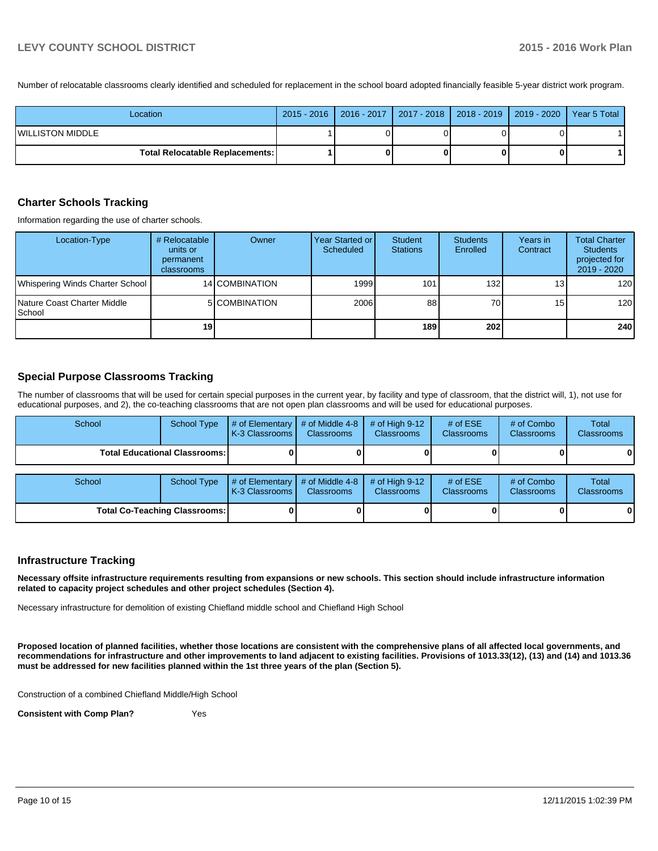Number of relocatable classrooms clearly identified and scheduled for replacement in the school board adopted financially feasible 5-year district work program.

| Location                                 |  |  | 2015 - 2016   2016 - 2017   2017 - 2018   2018 - 2019   2019 - 2020   Year 5 Total |
|------------------------------------------|--|--|------------------------------------------------------------------------------------|
| <b>WILLISTON MIDDLE</b>                  |  |  |                                                                                    |
| <b>Total Relocatable Replacements: I</b> |  |  |                                                                                    |

#### **Charter Schools Tracking**

Information regarding the use of charter schools.

| Location-Type                                          | # Relocatable<br>units or<br>permanent<br>classrooms | Owner          | Year Started or I<br>Scheduled | Student<br><b>Stations</b> | <b>Students</b><br><b>Enrolled</b> | Years in<br>Contract | <b>Total Charter</b><br><b>Students</b><br>projected for<br>$2019 - 2020$ |
|--------------------------------------------------------|------------------------------------------------------|----------------|--------------------------------|----------------------------|------------------------------------|----------------------|---------------------------------------------------------------------------|
| Whispering Winds Charter School                        |                                                      | 14 COMBINATION | 1999                           | 101                        | 132                                | 13 <sub>l</sub>      | 120                                                                       |
| <b>INature Coast Charter Middle</b><br><b>I</b> School |                                                      | 5 COMBINATION  | 2006                           | 88                         | 70 <sup>1</sup>                    | 15 <sup>1</sup>      | 120                                                                       |
|                                                        | 19                                                   |                |                                | 189                        | <b>2021</b>                        |                      | 240                                                                       |

#### **Special Purpose Classrooms Tracking**

The number of classrooms that will be used for certain special purposes in the current year, by facility and type of classroom, that the district will, 1), not use for educational purposes, and 2), the co-teaching classrooms that are not open plan classrooms and will be used for educational purposes.

| School                                 | <b>School Type</b> | # of Elementary<br>K-3 Classrooms I | # of Middle 4-8<br><b>Classrooms</b> | # of High $9-12$<br><b>Classrooms</b> | # of $ESE$<br><b>Classrooms</b> | # of Combo<br>Classrooms | Total<br>Classrooms |
|----------------------------------------|--------------------|-------------------------------------|--------------------------------------|---------------------------------------|---------------------------------|--------------------------|---------------------|
| <b>Total Educational Classrooms: I</b> |                    |                                     |                                      |                                       |                                 |                          |                     |
| School                                 | <b>School Type</b> | # of Elementary<br>K-3 Classrooms I | # of Middle 4-8<br><b>Classrooms</b> | # of High $9-12$<br>Classrooms        | # of $ESE$<br><b>Classrooms</b> | # of Combo<br>Classrooms | Total<br>Classrooms |
| <b>Total Co-Teaching Classrooms:</b>   |                    |                                     |                                      |                                       |                                 |                          |                     |

#### **Infrastructure Tracking**

**Necessary offsite infrastructure requirements resulting from expansions or new schools. This section should include infrastructure information related to capacity project schedules and other project schedules (Section 4).**

Necessary infrastructure for demolition of existing Chiefland middle school and Chiefland High School

**Proposed location of planned facilities, whether those locations are consistent with the comprehensive plans of all affected local governments, and recommendations for infrastructure and other improvements to land adjacent to existing facilities. Provisions of 1013.33(12), (13) and (14) and 1013.36 must be addressed for new facilities planned within the 1st three years of the plan (Section 5).**

Construction of a combined Chiefland Middle/High School

**Consistent with Comp Plan?** Yes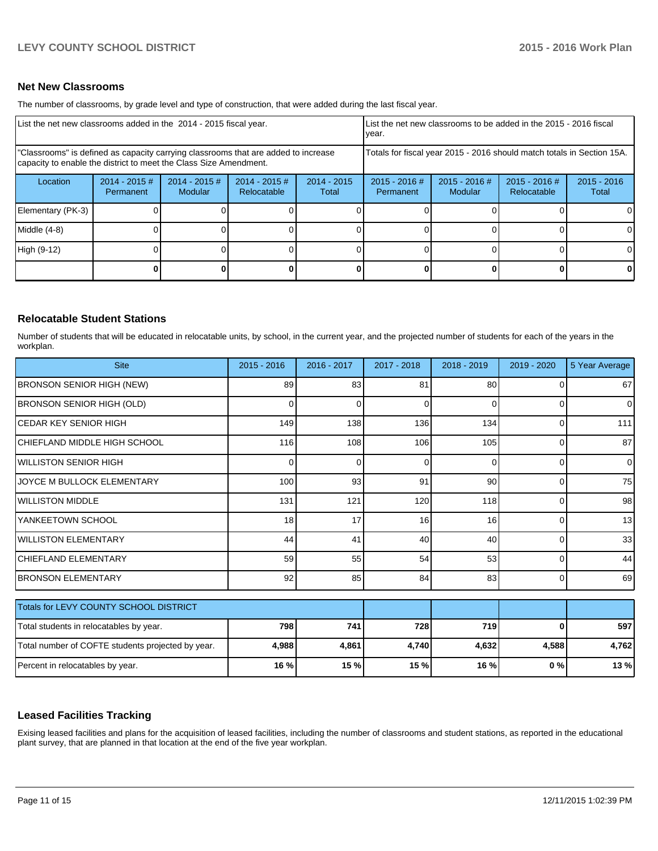#### **Net New Classrooms**

The number of classrooms, by grade level and type of construction, that were added during the last fiscal year.

| List the net new classrooms added in the 2014 - 2015 fiscal year.                                                                                       |                               |                            |                                |                        | List the net new classrooms to be added in the 2015 - 2016 fiscal<br>year. |                            |                                |                        |  |
|---------------------------------------------------------------------------------------------------------------------------------------------------------|-------------------------------|----------------------------|--------------------------------|------------------------|----------------------------------------------------------------------------|----------------------------|--------------------------------|------------------------|--|
| "Classrooms" is defined as capacity carrying classrooms that are added to increase<br>capacity to enable the district to meet the Class Size Amendment. |                               |                            |                                |                        | Totals for fiscal year 2015 - 2016 should match totals in Section 15A.     |                            |                                |                        |  |
| Location                                                                                                                                                | $2014 - 2015 \#$<br>Permanent | $2014 - 2015$ #<br>Modular | $2014 - 2015$ #<br>Relocatable | $2014 - 2015$<br>Total | $2015 - 2016$ #<br>Permanent                                               | $2015 - 2016$ #<br>Modular | $2015 - 2016$ #<br>Relocatable | $2015 - 2016$<br>Total |  |
| Elementary (PK-3)                                                                                                                                       |                               |                            |                                |                        |                                                                            |                            |                                | 0                      |  |
| Middle (4-8)                                                                                                                                            |                               |                            |                                |                        |                                                                            |                            |                                | $\Omega$               |  |
| High (9-12)                                                                                                                                             |                               |                            |                                |                        |                                                                            |                            |                                | $\Omega$               |  |
|                                                                                                                                                         |                               |                            |                                |                        |                                                                            |                            |                                | 0                      |  |

#### **Relocatable Student Stations**

Number of students that will be educated in relocatable units, by school, in the current year, and the projected number of students for each of the years in the workplan.

| <b>Site</b>                                       | $2015 - 2016$ | 2016 - 2017 | 2017 - 2018 | 2018 - 2019 | 2019 - 2020    | 5 Year Average |
|---------------------------------------------------|---------------|-------------|-------------|-------------|----------------|----------------|
| <b>BRONSON SENIOR HIGH (NEW)</b>                  | 89            | 83          | 81          | 80          | 0              | 67             |
| <b>BRONSON SENIOR HIGH (OLD)</b>                  | 0             | 0           | 0           | $\Omega$    | $\Omega$       | $\Omega$       |
| İCEDAR KEY SENIOR HIGH                            | 149           | 138         | 136         | 134         | 0              | 111            |
| CHIEFLAND MIDDLE HIGH SCHOOL                      | 116           | 108         | 106         | 105         | $\Omega$       | 87             |
| <b>WILLISTON SENIOR HIGH</b>                      | 0             | 0           | $\Omega$    | 0           | $\Omega$       | $\Omega$       |
| JOYCE M BULLOCK ELEMENTARY                        | 100           | 93          | 91          | 90          | $\Omega$       | 75             |
| <b>IWILLISTON MIDDLE</b>                          | 131           | 121         | 120         | 118         | 0              | 98             |
| YANKEETOWN SCHOOL                                 | 18            | 17          | 16          | 16          | $\Omega$       | 13             |
| <b>WILLISTON ELEMENTARY</b>                       | 44            | 41          | 40          | 40          | 0              | 33             |
| <b>CHIEFLAND ELEMENTARY</b>                       | 59            | 55          | 54          | 53          | $\Omega$       | 44             |
| <b>BRONSON ELEMENTARY</b>                         | 92            | 85          | 84          | 83          | $\overline{0}$ | 69             |
| Totals for LEVY COUNTY SCHOOL DISTRICT            |               |             |             |             |                |                |
| Total students in relocatables by year.           | 798           | 741         | 728         | 719         | O              | 597            |
| Total number of COFTE students projected by year. | 4,988         | 4,861       | 4,740       | 4,632       | 4,588          | 4,762          |
| Percent in relocatables by year.                  | 16 %          | 15 %        | 15 %        | 16 %        | 0 %            | 13 %           |

#### **Leased Facilities Tracking**

Exising leased facilities and plans for the acquisition of leased facilities, including the number of classrooms and student stations, as reported in the educational plant survey, that are planned in that location at the end of the five year workplan.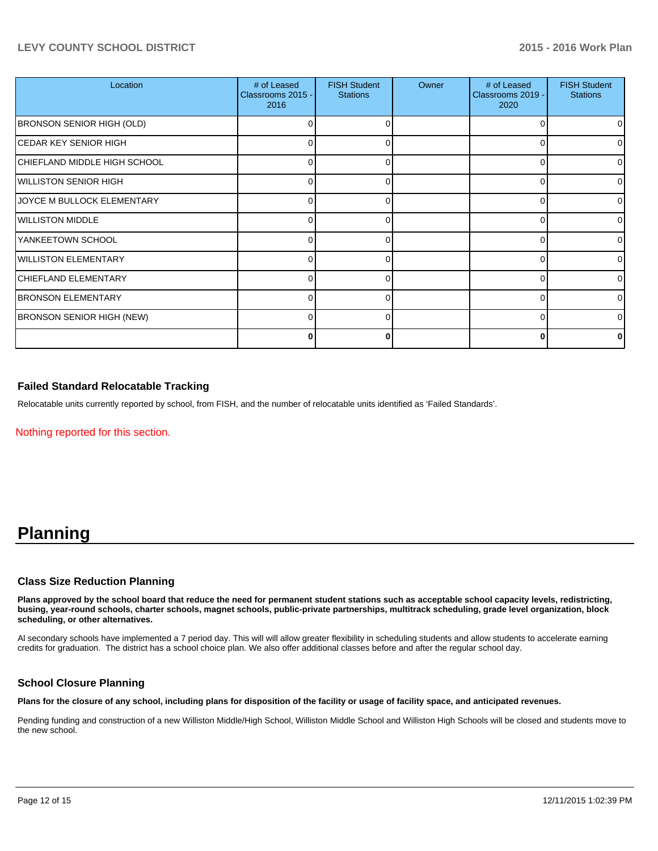### **LEVY COUNTY SCHOOL DISTRICT 2015 - 2016 Work Plan**

| Location                          | # of Leased<br>Classrooms 2015 -<br>2016 | <b>FISH Student</b><br><b>Stations</b> | Owner | # of Leased<br>Classrooms 2019 -<br>2020 | <b>FISH Student</b><br><b>Stations</b> |
|-----------------------------------|------------------------------------------|----------------------------------------|-------|------------------------------------------|----------------------------------------|
| <b>BRONSON SENIOR HIGH (OLD)</b>  | 0                                        | ∩                                      |       | C                                        | $\overline{0}$                         |
| İCEDAR KEY SENIOR HIGH            | 0                                        | 0                                      |       | C                                        | 01                                     |
| CHIEFLAND MIDDLE HIGH SCHOOL      | 0                                        |                                        |       |                                          | 01                                     |
| WILLISTON SENIOR HIGH             | 0                                        | U                                      |       | r                                        | $\Omega$                               |
| <b>JOYCE M BULLOCK ELEMENTARY</b> | 0                                        | 0                                      |       | 0                                        | 01                                     |
| WILLISTON MIDDLE                  | 0                                        |                                        |       | C                                        | 01                                     |
| YANKEETOWN SCHOOL                 | n                                        |                                        |       | r                                        | $\Omega$                               |
| WILLISTON ELEMENTARY              | 0                                        | O                                      |       | ∩                                        | 01                                     |
| CHIEFLAND ELEMENTARY              | 0                                        |                                        |       | C                                        | 01                                     |
| <b>BRONSON ELEMENTARY</b>         | n                                        |                                        |       |                                          | $\Omega$                               |
| <b>BRONSON SENIOR HIGH (NEW)</b>  | 0                                        | U                                      |       | ∩                                        | 0                                      |
|                                   | 0                                        |                                        |       |                                          | 0                                      |

#### **Failed Standard Relocatable Tracking**

Relocatable units currently reported by school, from FISH, and the number of relocatable units identified as 'Failed Standards'.

Nothing reported for this section.

## **Planning**

#### **Class Size Reduction Planning**

**Plans approved by the school board that reduce the need for permanent student stations such as acceptable school capacity levels, redistricting, busing, year-round schools, charter schools, magnet schools, public-private partnerships, multitrack scheduling, grade level organization, block scheduling, or other alternatives.**

Al secondary schools have implemented a 7 period day. This will will allow greater flexibility in scheduling students and allow students to accelerate earning credits for graduation. The district has a school choice plan. We also offer additional classes before and after the regular school day.

#### **School Closure Planning**

**Plans for the closure of any school, including plans for disposition of the facility or usage of facility space, and anticipated revenues.**

Pending funding and construction of a new Williston Middle/High School, Williston Middle School and Williston High Schools will be closed and students move to the new school.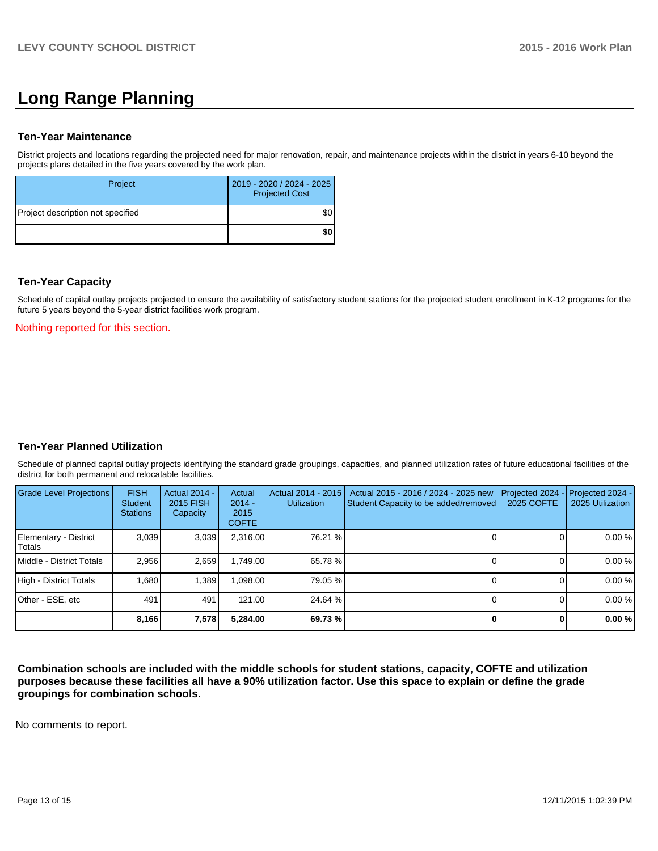# **Long Range Planning**

#### **Ten-Year Maintenance**

District projects and locations regarding the projected need for major renovation, repair, and maintenance projects within the district in years 6-10 beyond the projects plans detailed in the five years covered by the work plan.

| Project                           | 2019 - 2020 / 2024 - 2025<br><b>Projected Cost</b> |
|-----------------------------------|----------------------------------------------------|
| Project description not specified |                                                    |
|                                   | ا SO                                               |

### **Ten-Year Capacity**

Schedule of capital outlay projects projected to ensure the availability of satisfactory student stations for the projected student enrollment in K-12 programs for the future 5 years beyond the 5-year district facilities work program.

Nothing reported for this section.

#### **Ten-Year Planned Utilization**

Schedule of planned capital outlay projects identifying the standard grade groupings, capacities, and planned utilization rates of future educational facilities of the district for both permanent and relocatable facilities.

| Grade Level Projections         | <b>FISH</b><br>Student<br><b>Stations</b> | Actual 2014 -<br>2015 FISH<br>Capacity | Actual<br>$2014 -$<br>2015<br><b>COFTE</b> | Actual 2014 - 2015<br><b>Utilization</b> | Actual 2015 - 2016 / 2024 - 2025 new<br>Student Capacity to be added/removed | Projected 2024<br>2025 COFTE | Projected 2024 -<br>2025 Utilization |
|---------------------------------|-------------------------------------------|----------------------------------------|--------------------------------------------|------------------------------------------|------------------------------------------------------------------------------|------------------------------|--------------------------------------|
| Elementary - District<br>Totals | 3,039                                     | 3,039                                  | 2,316.00                                   | 76.21 %                                  |                                                                              |                              | 0.00%                                |
| Middle - District Totals        | 2.956                                     | 2,659                                  | 1.749.00                                   | 65.78 %                                  |                                                                              |                              | 0.00%                                |
| High - District Totals          | 1.680                                     | 1.389                                  | .098.00                                    | 79.05 %                                  |                                                                              |                              | 0.00%                                |
| Other - ESE, etc                | 491                                       | 491                                    | 121.00                                     | 24.64 %                                  |                                                                              |                              | 0.00%                                |
|                                 | 8,166                                     | 7,578                                  | 5,284.00                                   | 69.73 %                                  |                                                                              |                              | 0.00%                                |

**Combination schools are included with the middle schools for student stations, capacity, COFTE and utilization purposes because these facilities all have a 90% utilization factor. Use this space to explain or define the grade groupings for combination schools.**

No comments to report.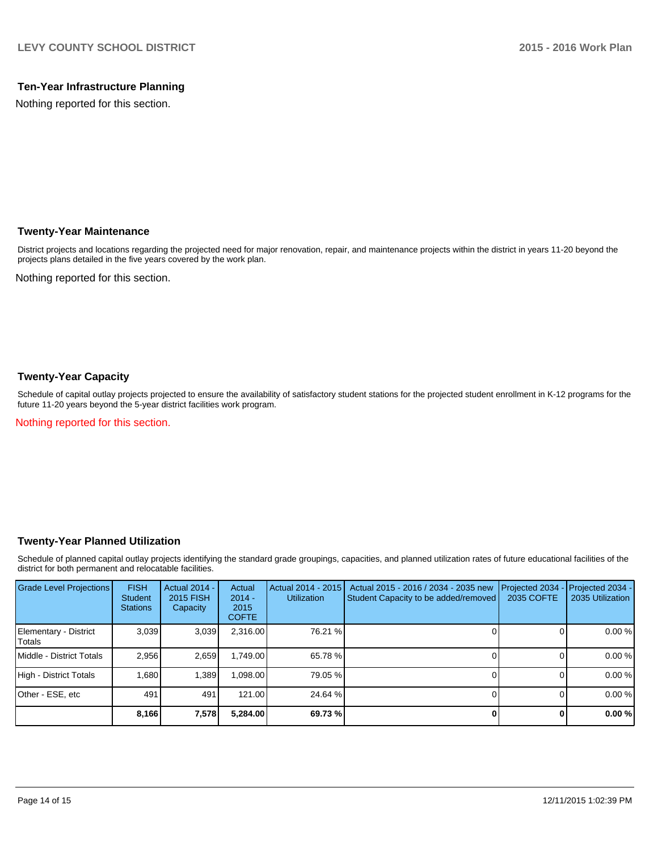## **Ten-Year Infrastructure Planning**

Nothing reported for this section.

### **Twenty-Year Maintenance**

District projects and locations regarding the projected need for major renovation, repair, and maintenance projects within the district in years 11-20 beyond the projects plans detailed in the five years covered by the work plan.

Nothing reported for this section.

### **Twenty-Year Capacity**

Schedule of capital outlay projects projected to ensure the availability of satisfactory student stations for the projected student enrollment in K-12 programs for the future 11-20 years beyond the 5-year district facilities work program.

Nothing reported for this section.

### **Twenty-Year Planned Utilization**

Schedule of planned capital outlay projects identifying the standard grade groupings, capacities, and planned utilization rates of future educational facilities of the district for both permanent and relocatable facilities.

| <b>Grade Level Projections</b>   | <b>FISH</b><br><b>Student</b><br><b>Stations</b> | <b>Actual 2014 -</b><br>2015 FISH<br>Capacity | Actual<br>$2014 -$<br>2015<br><b>COFTE</b> | Actual 2014 - 2015<br><b>Utilization</b> | Actual 2015 - 2016 / 2034 - 2035 new<br>Student Capacity to be added/removed | Projected 2034<br>2035 COFTE | Projected 2034 -<br>2035 Utilization |
|----------------------------------|--------------------------------------------------|-----------------------------------------------|--------------------------------------------|------------------------------------------|------------------------------------------------------------------------------|------------------------------|--------------------------------------|
| Elementary - District<br> Totals | 3,039                                            | 3,039                                         | 2,316.00                                   | 76.21 %                                  |                                                                              |                              | 0.00%                                |
| Middle - District Totals         | 2.956                                            | 2.659                                         | 1.749.00                                   | 65.78 %                                  |                                                                              |                              | 0.00%                                |
| High - District Totals           | 1.680                                            | 1,389                                         | 1,098.00                                   | 79.05 %                                  |                                                                              |                              | 0.00%                                |
| Other - ESE, etc                 | 491                                              | 491                                           | 121.00                                     | 24.64 %                                  |                                                                              |                              | 0.00%                                |
|                                  | 8,166                                            | 7,578                                         | 5,284.00                                   | 69.73 %                                  |                                                                              |                              | 0.00%                                |